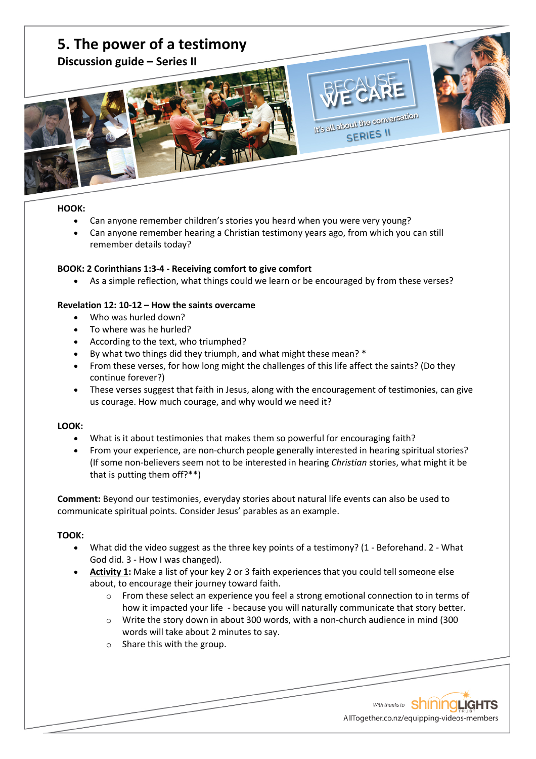

## **HOOK:**

- Can anyone remember children's stories you heard when you were very young?
- Can anyone remember hearing a Christian testimony years ago, from which you can still remember details today?

## **BOOK: 2 Corinthians 1:3-4 - Receiving comfort to give comfort**

• As a simple reflection, what things could we learn or be encouraged by from these verses?

## **Revelation 12: 10-12 – How the saints overcame**

- Who was hurled down?
- To where was he hurled?
- According to the text, who triumphed?
- By what two things did they triumph, and what might these mean? \*
- From these verses, for how long might the challenges of this life affect the saints? (Do they continue forever?)
- These verses suggest that faith in Jesus, along with the encouragement of testimonies, can give us courage. How much courage, and why would we need it?

## **LOOK:**

- What is it about testimonies that makes them so powerful for encouraging faith?
- From your experience, are non-church people generally interested in hearing spiritual stories? (If some non-believers seem not to be interested in hearing *Christian* stories, what might it be that is putting them off?\*\*)

**Comment:** Beyond our testimonies, everyday stories about natural life events can also be used to communicate spiritual points. Consider Jesus' parables as an example.

## **TOOK:**

- What did the video suggest as the three key points of a testimony? (1 Beforehand. 2 What God did. 3 - How I was changed).
- **Activity 1:** Make a list of your key 2 or 3 faith experiences that you could tell someone else about, to encourage their journey toward faith.
	- o From these select an experience you feel a strong emotional connection to in terms of how it impacted your life - because you will naturally communicate that story better.
	- $\circ$  Write the story down in about 300 words, with a non-church audience in mind (300 words will take about 2 minutes to say.
	- o Share this with the group.

With thanks to ShiningLights AllTogether.co.nz/equipping-videos-members